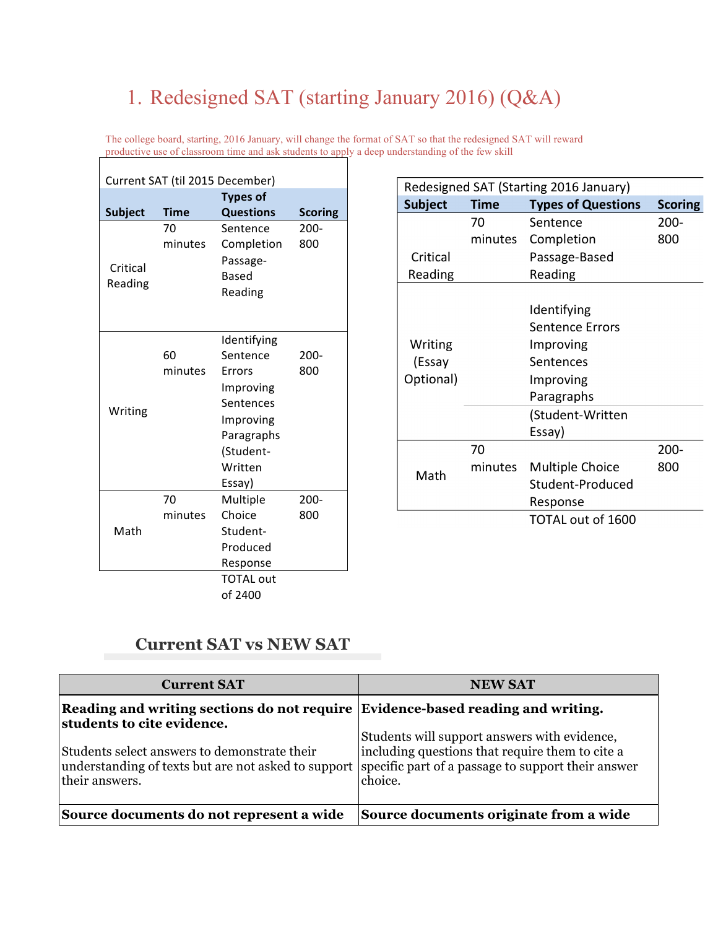## 1. Redesigned SAT (starting January 2016) (Q&A)

The college board, starting, 2016 January, will change the format of SAT so that the redesigned SAT will reward productive use of classroom time and ask students to apply a deep understanding of the few skill  $\mathbf{I}$ 

| Current SAT (til 2015 December) |             |                    |                |
|---------------------------------|-------------|--------------------|----------------|
| <b>Types of</b>                 |             |                    |                |
| <b>Subject</b>                  | <b>Time</b> | <b>Questions</b>   | <b>Scoring</b> |
|                                 | 70          | Sentence           | $200 -$        |
|                                 | minutes     | Completion         | 800            |
| Critical                        |             | Passage-           |                |
| Reading                         |             | <b>Based</b>       |                |
|                                 |             | Reading            |                |
|                                 |             |                    |                |
|                                 |             | Identifying        |                |
|                                 | 60          | Sentence           | $200 -$        |
|                                 | minutes     | <b>Frrors</b>      | 800            |
|                                 |             | Improving          |                |
| Writing                         |             | Sentences          |                |
|                                 |             | Improving          |                |
|                                 |             | Paragraphs         |                |
|                                 |             | (Student-          |                |
|                                 |             | Written            |                |
|                                 |             | Essay)             |                |
| Math                            | 70          | Multiple           | $200 -$        |
|                                 | minutes     | Choice<br>Student- | 800            |
|                                 |             | Produced           |                |
|                                 |             | Response           |                |
|                                 |             | <b>TOTAL out</b>   |                |
|                                 |             | of 2400            |                |
|                                 |             |                    |                |

| Redesigned SAT (Starting 2016 January) |             |                           |                |
|----------------------------------------|-------------|---------------------------|----------------|
| <b>Subject</b>                         | <b>Time</b> | <b>Types of Questions</b> | <b>Scoring</b> |
|                                        | 70          | Sentence                  | $200 -$        |
|                                        | minutes     | Completion                | 800            |
| Critical                               |             | Passage-Based             |                |
| Reading                                |             | Reading                   |                |
|                                        |             |                           |                |
|                                        |             | Identifying               |                |
|                                        |             | <b>Sentence Errors</b>    |                |
| Writing                                |             | Improving                 |                |
| (Essay                                 |             | Sentences                 |                |
| Optional)                              |             | Improving                 |                |
|                                        |             | Paragraphs                |                |
|                                        |             | (Student-Written          |                |
|                                        |             | Essay)                    |                |
| Math                                   | 70          |                           | $200 -$        |
|                                        | minutes     | Multiple Choice           | 800            |
|                                        |             | Student-Produced          |                |
|                                        |             | Response                  |                |
|                                        |             | TOTAL out of 1600         |                |

## **Current SAT vs NEW SAT**

| <b>Current SAT</b>                                                                                                                                                       | <b>NEW SAT</b>                                                                                             |
|--------------------------------------------------------------------------------------------------------------------------------------------------------------------------|------------------------------------------------------------------------------------------------------------|
| Reading and writing sections do not require Evidence-based reading and writing.<br>students to cite evidence.                                                            |                                                                                                            |
| Students select answers to demonstrate their<br>understanding of texts but are not asked to support specific part of a passage to support their answer<br>their answers. | Students will support answers with evidence,<br>including questions that require them to cite a<br>choice. |
| Source documents do not represent a wide                                                                                                                                 | Source documents originate from a wide                                                                     |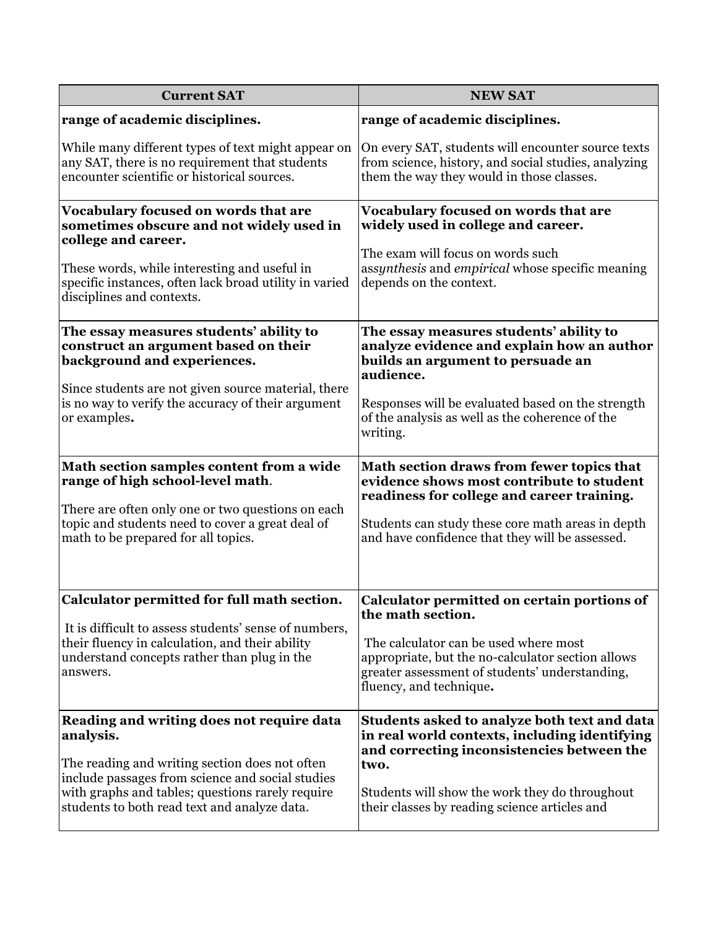| <b>Current SAT</b>                                                                                                                                                                                                                                               | <b>NEW SAT</b>                                                                                                                                                                                                                                              |
|------------------------------------------------------------------------------------------------------------------------------------------------------------------------------------------------------------------------------------------------------------------|-------------------------------------------------------------------------------------------------------------------------------------------------------------------------------------------------------------------------------------------------------------|
| range of academic disciplines.                                                                                                                                                                                                                                   | range of academic disciplines.                                                                                                                                                                                                                              |
| While many different types of text might appear on<br>any SAT, there is no requirement that students<br>encounter scientific or historical sources.                                                                                                              | On every SAT, students will encounter source texts<br>from science, history, and social studies, analyzing<br>them the way they would in those classes.                                                                                                     |
| Vocabulary focused on words that are<br>sometimes obscure and not widely used in<br>college and career.<br>These words, while interesting and useful in<br>specific instances, often lack broad utility in varied<br>disciplines and contexts.                   | Vocabulary focused on words that are<br>widely used in college and career.<br>The exam will focus on words such<br>assynthesis and empirical whose specific meaning<br>depends on the context.                                                              |
| The essay measures students' ability to<br>construct an argument based on their<br>background and experiences.<br>Since students are not given source material, there<br>is no way to verify the accuracy of their argument<br>or examples.                      | The essay measures students' ability to<br>analyze evidence and explain how an author<br>builds an argument to persuade an<br>audience.<br>Responses will be evaluated based on the strength<br>of the analysis as well as the coherence of the<br>writing. |
| Math section samples content from a wide<br>range of high school-level math.<br>There are often only one or two questions on each<br>topic and students need to cover a great deal of<br>math to be prepared for all topics.                                     | Math section draws from fewer topics that<br>evidence shows most contribute to student<br>readiness for college and career training.<br>Students can study these core math areas in depth<br>and have confidence that they will be assessed.                |
| Calculator permitted for full math section.<br>It is difficult to assess students' sense of numbers,<br>their fluency in calculation, and their ability<br>understand concepts rather than plug in the<br>answers.                                               | Calculator permitted on certain portions of<br>the math section.<br>The calculator can be used where most<br>appropriate, but the no-calculator section allows<br>greater assessment of students' understanding,<br>fluency, and technique.                 |
| Reading and writing does not require data<br>analysis.<br>The reading and writing section does not often<br>include passages from science and social studies<br>with graphs and tables; questions rarely require<br>students to both read text and analyze data. | Students asked to analyze both text and data<br>in real world contexts, including identifying<br>and correcting inconsistencies between the<br>two.<br>Students will show the work they do throughout<br>their classes by reading science articles and      |